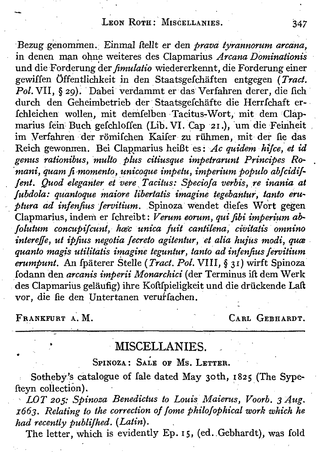## LEON ROTH: MISCELLANIES. 347

Bezug genommen. Einmal ftellt er den *prava tyrannorum arcana*, in denen man ohne weiteres des Clapmarius *Arcana Dominationis* und die Forderung der *fimulatio* wiedererkennt, die Forderung einer gewiffen Offentlichkeit in den Staatsgefchaften entgegen *(Tract.* Pol. VII, § 29). Dabei verdammt er das Verfahren derer, die fich durch den Geheimbetrieb der Staatsgefchäfte die Herrfchaft er-Ichleichen wollen, mit demfelben Tacitus-Wort, mit dem Clapmarius fein Buch gefchloffen (Lib. VI. Cap 21.), um die Feinheit im Verfahren der römifchen Kaifer zu rühmen, mit der fie das Reich gewonren. Bei Clapmarius heißt es: Ac quidem *hifce*, et id *genus rationibus,multo plus citiusque impetrarunt Principes R~ 'mani, quam fi-momento, unicoque impetu, imperium populo abfcidi]« [ent, Quod eleganter etvere ,Tacitus: Speciofa verbis, :r,einania at [ubdola: quanioque maiore libertatis imagine tegebantu», tanto eru- '-.ptura ad infenfius fervitium.* .Spinoza wendet diefes Wort gegen Clapmarius, indem er fchreibt: *Verum eorum, qui fibi imperium abfolutum concupifcunt, hoec unica fuit cantilena, civitatis omnino intereffe, ut ipfius negotia (ecreto agitentur, et alia hujus modi, qua quanta magis utilitatis imagine teguntur, tanto ad infenfius fervitium erumpunt,* An Ipaterer Stelle *(Tract. Pol.* VIII, § 3r) wirft Spinoza fodann den *arcanis imperii Monarchici* (der Terminus ift dem Werk des Clapmarius gelaufig) ihre Koftfpieligkeit und die driickende Laft vor, die fie den Untertanen verurfachen.

FRANKFURT A. M. CARL GEBHARDT.

## MISCELLANIES.

SPINOZA: SALE OF MS. LETTER.

Sotheby's catalogue of Iale dated May 30th, 1825 (The Sypefteyn collection).

*, LOT 205: Spinosa Benedictus to Louis Maierus, Voorb,* 3*Aug. z663. Relating to the correction of [ome philofophical work which he had recently publifhed. (Latin).*

The letter, which is evidently Ep. 15, (ed. Gebhardt), was fold